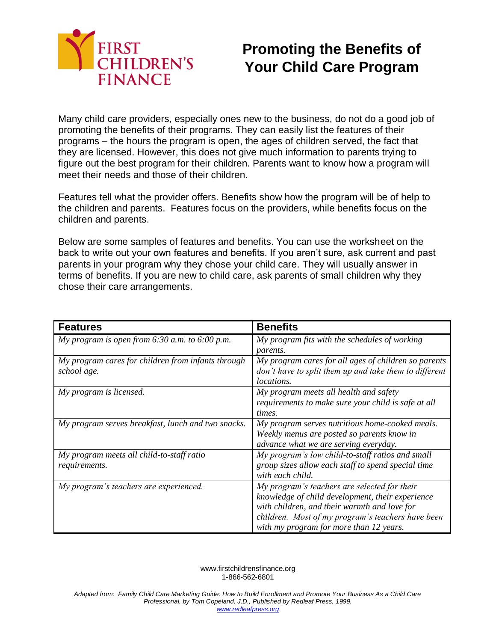

## **Promoting the Benefits of Your Child Care Program**

Many child care providers, especially ones new to the business, do not do a good job of promoting the benefits of their programs. They can easily list the features of their programs – the hours the program is open, the ages of children served, the fact that they are licensed. However, this does not give much information to parents trying to figure out the best program for their children. Parents want to know how a program will meet their needs and those of their children.

Features tell what the provider offers. Benefits show how the program will be of help to the children and parents. Features focus on the providers, while benefits focus on the children and parents.

Below are some samples of features and benefits. You can use the worksheet on the back to write out your own features and benefits. If you aren't sure, ask current and past parents in your program why they chose your child care. They will usually answer in terms of benefits. If you are new to child care, ask parents of small children why they chose their care arrangements.

| <b>Features</b>                                    | <b>Benefits</b>                                        |
|----------------------------------------------------|--------------------------------------------------------|
| My program is open from $6:30$ a.m. to $6:00$ p.m. | My program fits with the schedules of working          |
|                                                    | <i>parents.</i>                                        |
| My program cares for children from infants through | My program cares for all ages of children so parents   |
| school age.                                        | don't have to split them up and take them to different |
|                                                    | <i>locations.</i>                                      |
| My program is licensed.                            | My program meets all health and safety                 |
|                                                    | requirements to make sure your child is safe at all    |
|                                                    | times.                                                 |
| My program serves breakfast, lunch and two snacks. | My program serves nutritious home-cooked meals.        |
|                                                    | Weekly menus are posted so parents know in             |
|                                                    | advance what we are serving everyday.                  |
| My program meets all child-to-staff ratio          | My program's low child-to-staff ratios and small       |
| requirements.                                      | group sizes allow each staff to spend special time     |
|                                                    | with each child.                                       |
| My program's teachers are experienced.             | My program's teachers are selected for their           |
|                                                    | knowledge of child development, their experience       |
|                                                    | with children, and their warmth and love for           |
|                                                    | children. Most of my program's teachers have been      |
|                                                    | with my program for more than 12 years.                |

www.firstchildrensfinance.org 1-866-562-6801